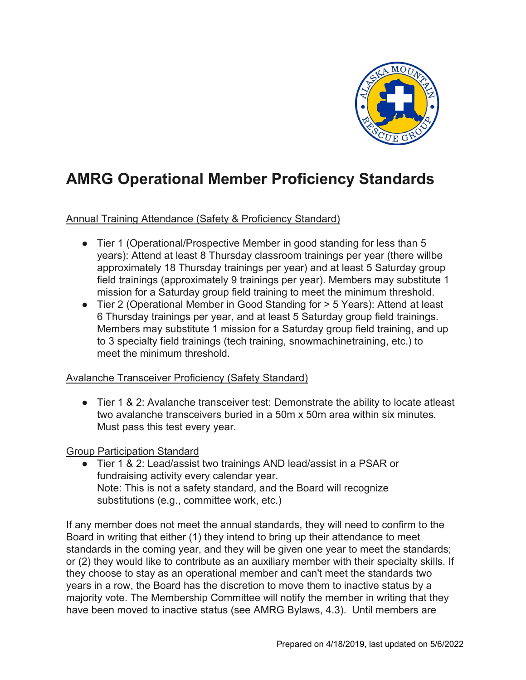

## **AMRG Operational Member Proficiency Standards**

Annual Training Attendance (Safety & Proficiency Standard)

- Tier 1 (Operational/Prospective Member in good standing for less than 5 years): Attend at least 8 Thursday classroom trainings per year (there willbe approximately 18 Thursday trainings per year) and at least 5 Saturday group field trainings (approximately 9 trainings per year). Members may substitute 1 mission for a Saturday group field training to meet the minimum threshold.
- Tier 2 (Operational Member in Good Standing for > 5 Years): Attend at least 6 Thursday trainings per year, and at least 5 Saturday group field trainings. Members may substitute 1 mission for a Saturday group field training, and up to 3 specialty field trainings (tech training, snowmachinetraining, etc.) to meet the minimum threshold.

## Avalanche Transceiver Proficiency (Safety Standard)

● Tier 1 & 2: Avalanche transceiver test: Demonstrate the ability to locate atleast two avalanche transceivers buried in a 50m x 50m area within six minutes. Must pass this test every year.

## Group Participation Standard

● Tier 1 & 2: Lead/assist two trainings AND lead/assist in a PSAR or fundraising activity every calendar year. Note: This is not a safety standard, and the Board will recognize substitutions (e.g., committee work, etc.)

If any member does not meet the annual standards, they will need to confirm to the Board in writing that either (1) they intend to bring up their attendance to meet standards in the coming year, and they will be given one year to meet the standards; or (2) they would like to contribute as an auxiliary member with their specialty skills. If they choose to stay as an operational member and can't meet the standards two years in a row, the Board has the discretion to move them to inactive status by a majority vote. The Membership Committee will notify the member in writing that they have been moved to inactive status (see AMRG Bylaws, 4.3). Until members are